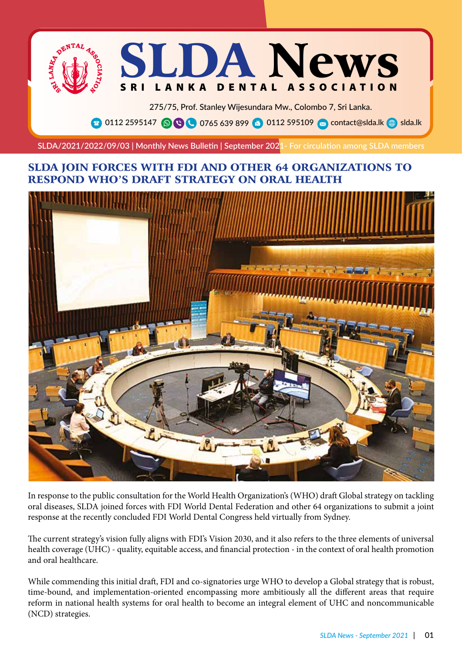

275/75, Prof. Stanley Wijesundara Mw., Colombo 7, Sri Lanka. **8** 0112 2595147 **O C** 0765 639 899 **a** 0112 595109 **o** contact@slda.lk **a** slda.lk

**SLDA/2021/2022/09/03 | Monthly News Bulletin | September 2021- For circulation among SLDA members**

## SLDA JOIN FORCES WITH FDI AND OTHER 64 ORGANIZATIONS TO RESPOND WHO'S DRAFT STRATEGY ON ORAL HEALTH



In response to the public consultation for the World Health Organization's (WHO) draft Global strategy on tackling oral diseases, SLDA joined forces with FDI World Dental Federation and other 64 organizations to submit a joint response at the recently concluded FDI World Dental Congress held virtually from Sydney.

The current strategy's vision fully aligns with FDI's Vision 2030, and it also refers to the three elements of universal health coverage (UHC) - quality, equitable access, and financial protection - in the context of oral health promotion and oral healthcare.

While commending this initial draft, FDI and co-signatories urge WHO to develop a Global strategy that is robust, time-bound, and implementation-oriented encompassing more ambitiously all the different areas that require reform in national health systems for oral health to become an integral element of UHC and noncommunicable (NCD) strategies.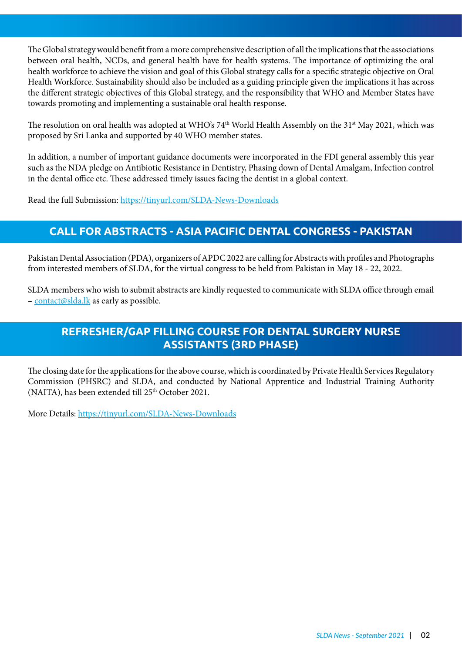The Global strategy would benefit from a more comprehensive description of all the implications that the associations between oral health, NCDs, and general health have for health systems. The importance of optimizing the oral health workforce to achieve the vision and goal of this Global strategy calls for a specific strategic objective on Oral Health Workforce. Sustainability should also be included as a guiding principle given the implications it has across the different strategic objectives of this Global strategy, and the responsibility that WHO and Member States have towards promoting and implementing a sustainable oral health response.

The resolution on oral health was adopted at WHO's 74<sup>th</sup> World Health Assembly on the 31<sup>st</sup> May 2021, which was proposed by Sri Lanka and supported by 40 WHO member states.

In addition, a number of important guidance documents were incorporated in the FDI general assembly this year such as the NDA pledge on Antibiotic Resistance in Dentistry, Phasing down of Dental Amalgam, Infection control in the dental office etc. These addressed timely issues facing the dentist in a global context.

Read the full Submission: https://tinyurl.com/SLDA-News-Downloads

## **CALL FOR ABSTRACTS - ASIA PACIFIC DENTAL CONGRESS - PAKISTAN**

Pakistan Dental Association (PDA), organizers of APDC 2022 are calling for Abstracts with profiles and Photographs from interested members of SLDA, for the virtual congress to be held from Pakistan in May 18 - 22, 2022.

SLDA members who wish to submit abstracts are kindly requested to communicate with SLDA office through email – contact@slda.lk as early as possible.

## **REFRESHER/GAP FILLING COURSE FOR DENTAL SURGERY NURSE ASSISTANTS (3RD PHASE)**

The closing date for the applications for the above course, which is coordinated by Private Health Services Regulatory Commission (PHSRC) and SLDA, and conducted by National Apprentice and Industrial Training Authority (NAITA), has been extended till 25th October 2021.

More Details: https://tinyurl.com/SLDA-News-Downloads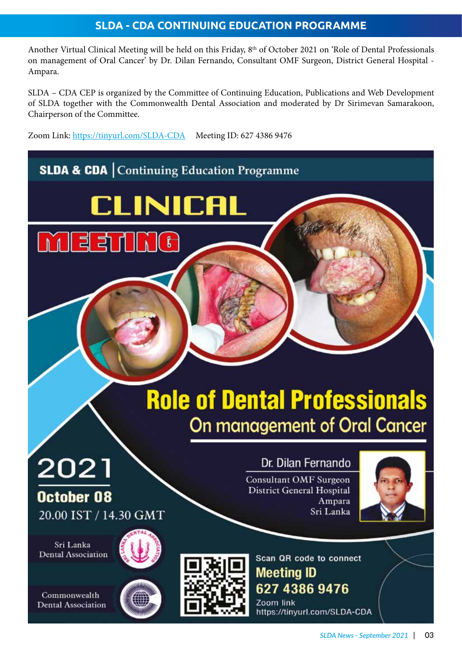## **SLDA - CDA CONTINUING EDUCATION PROGRAMME**

Another Virtual Clinical Meeting will be held on this Friday, 8<sup>th</sup> of October 2021 on 'Role of Dental Professionals on management of Oral Cancer' by Dr. Dilan Fernando, Consultant OMF Surgeon, District General Hospital - Ampara.

SLDA – CDA CEP is organized by the Committee of Continuing Education, Publications and Web Development of SLDA together with the Commonwealth Dental Association and moderated by Dr Sirimevan Samarakoon, Chairperson of the Committee.

Zoom Link: https://tinyurl.com/SLDA-CDA Meeting ID: 627 4386 9476

# **SLDA & CDA | Continuing Education Programme**

**CLINICAL** 

 $\mathbf{f}$ 

# **Role of Dental Professionals** On management of Oral Cancer

# Dr. Dilan Fernando

**Consultant OMF Surgeon District General Hospital** Ampara Sri Lanka



Sri Lanka Dental Association

2021

October 08

20.00 IST / 14.30 GMT

Commonwealth **Dental Association** 





Scan QR code to connect **Meeting ID** 627 4386 9476 Zoom link

https://tinyurl.com/SLDA-CDA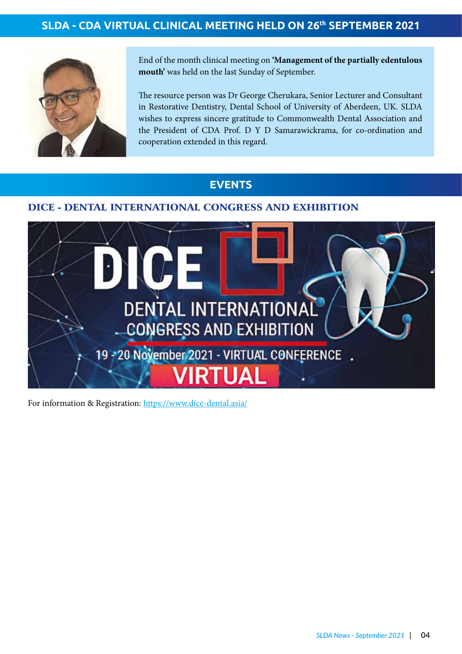# **SLDA - CDA VIRTUAL CLINICAL MEETING HELD ON 26th SEPTEMBER 2021**



End of the month clinical meeting on **'Management of the partially edentulous mouth'** was held on the last Sunday of September.

The resource person was Dr George Cherukara, Senior Lecturer and Consultant in Restorative Dentistry, Dental School of University of Aberdeen, UK. SLDA wishes to express sincere gratitude to Commonwealth Dental Association and the President of CDA Prof. D Y D Samarawickrama, for co-ordination and cooperation extended in this regard.

## **EVENTS**

#### DICE - DENTAL INTERNATIONAL CONGRESS AND EXHIBITION



For information & Registration: https://www.dice-dental.asia/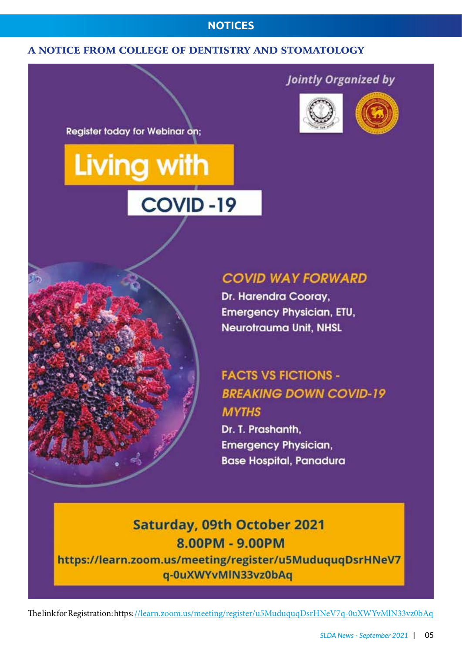### **NOTICES**

#### A NOTICE FROM COLLEGE OF DENTISTRY AND STOMATOLOGY

**Register today for Webinar on;** 

# **Living with** COVID-19

# **Jointly Organized by**





# **COVID WAY FORWARD**

Dr. Harendra Cooray, **Emergency Physician, ETU, Neurotrauma Unit, NHSL** 

# **FACTS VS FICTIONS -BREAKING DOWN COVID-19 MYTHS**

Dr. T. Prashanth. **Emergency Physician, Base Hospital, Panadura** 

# **Saturday, 09th October 2021** 8.00PM - 9.00PM

https://learn.zoom.us/meeting/register/u5MuduquqDsrHNeV7 q-0uXWYvMIN33vz0bAq

The link for Registration: https: //learn.zoom.us/meeting/register/u5MuduquqDsrHNeV7q-0uXWYvMlN33vz0bAq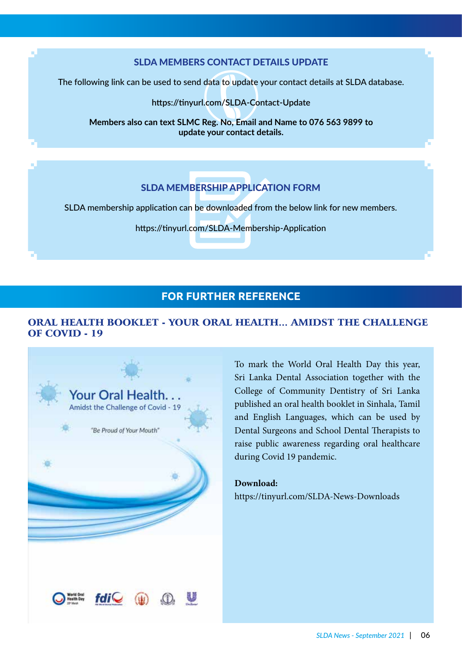#### SLDA MEMBERS CONTACT DETAILS UPDATE

The following link can be used to send data to update your contact details at SLDA database.

**https://tinyurl.com/SLDA-Contact-Update**

wing link can be used to send data to update your contact details at SLDA date<br>https://tinyurl.com/SLDA-Contact-Update<br>Members also can text SLMC Reg. No, Email and Name to 076 563 9899 to **update your contact details.**

## SLDA MEMBERSHIP APPLICATION FORM

SLDA membership application can be downloaded from the below link for new members.

https://tinyurl.com/SLDA-Membership-Application

#### **FOR FURTHER REFERENCE**

#### ORAL HEALTH BOOKLET - YOUR ORAL HEALTH... AMIDST THE CHALLENGE OF COVID - 19



To mark the World Oral Health Day this year, Sri Lanka Dental Association together with the College of Community Dentistry of Sri Lanka published an oral health booklet in Sinhala, Tamil and English Languages, which can be used by Dental Surgeons and School Dental Therapists to raise public awareness regarding oral healthcare during Covid 19 pandemic.

#### **Download:**

https://tinyurl.com/SLDA-News-Downloads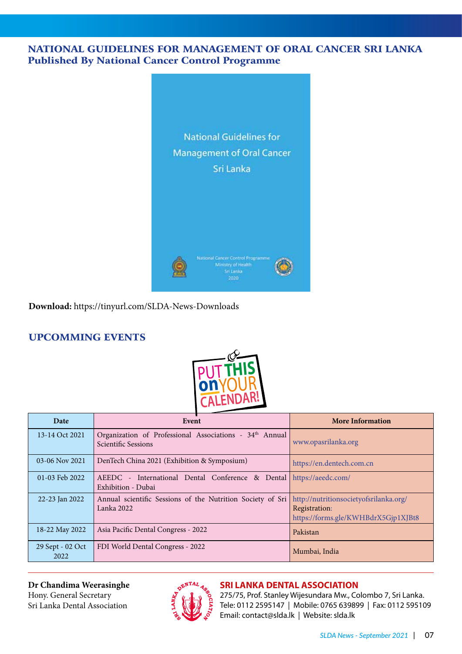#### NATIONAL GUIDELINES FOR MANAGEMENT OF ORAL CANCER SRI LANKA Published By National Cancer Control Programme



**Download:** https://tinyurl.com/SLDA-News-Downloads

### UPCOMMING EVENTS



| Date                     | Event                                                                                     | <b>More Information</b>                                                                        |
|--------------------------|-------------------------------------------------------------------------------------------|------------------------------------------------------------------------------------------------|
| 13-14 Oct 2021           | Organization of Professional Associations - 34th Annual<br><b>Scientific Sessions</b>     | www.opasrilanka.org                                                                            |
| 03-06 Nov 2021           | DenTech China 2021 (Exhibition & Symposium)                                               | https://en.dentech.com.cn                                                                      |
| 01-03 Feb 2022           | AEEDC - International Dental Conference & Dental https://aeedc.com/<br>Exhibition - Dubai |                                                                                                |
| 22-23 Jan 2022           | Annual scientific Sessions of the Nutrition Society of Sri<br>Lanka 2022                  | http://nutritionsocietyofsrilanka.org/<br>Registration:<br>https://forms.gle/KWHBdrX5Gjp1XJBt8 |
| 18-22 May 2022           | Asia Pacific Dental Congress - 2022                                                       | Pakistan                                                                                       |
| 29 Sept - 02 Oct<br>2022 | FDI World Dental Congress - 2022                                                          | Mumbai, India                                                                                  |

**Dr Chandima Weerasinghe** Hony. General Secretary Sri Lanka Dental Association



# **SRI LANKA DENTAL ASSOCIATION**

275/75, Prof. Stanley Wijesundara Mw., Colombo 7, Sri Lanka. Tele: 0112 2595147 | Mobile: 0765 639899 | Fax: 0112 595109 Email: contact@slda.lk | Website: slda.lk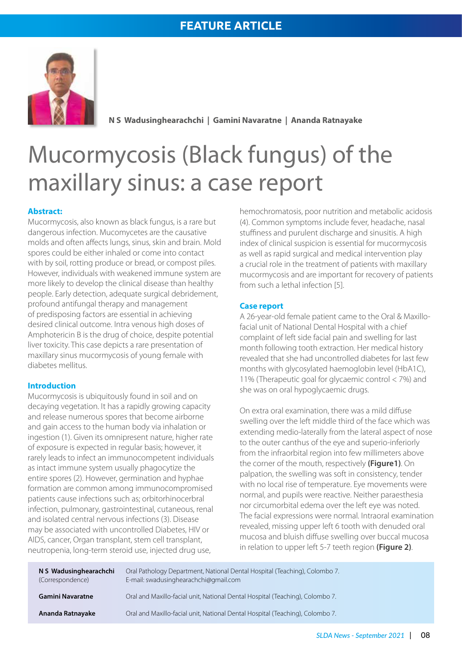# **FEATURE ARTICLE**



**N S Wadusinghearachchi | Gamini Navaratne | Ananda Ratnayake**

# Mucormycosis (Black fungus) of the maxillary sinus: a case report

#### **Abstract:**

Mucormycosis, also known as black fungus, is a rare but dangerous infection. Mucomycetes are the causative molds and often affects lungs, sinus, skin and brain. Mold spores could be either inhaled or come into contact with by soil, rotting produce or bread, or compost piles. However, individuals with weakened immune system are more likely to develop the clinical disease than healthy people. Early detection, adequate surgical debridement, profound antifungal therapy and management of predisposing factors are essential in achieving desired clinical outcome. Intra venous high doses of Amphotericin B is the drug of choice, despite potential liver toxicity. This case depicts a rare presentation of maxillary sinus mucormycosis of young female with diabetes mellitus.

#### **Introduction**

Mucormycosis is ubiquitously found in soil and on decaying vegetation. It has a rapidly growing capacity and release numerous spores that become airborne and gain access to the human body via inhalation or ingestion (1). Given its omnipresent nature, higher rate of exposure is expected in regular basis; however, it rarely leads to infect an immunocompetent individuals as intact immune system usually phagocytize the entire spores (2). However, germination and hyphae formation are common among immunocompromised patients cause infections such as; orbitorhinocerbral infection, pulmonary, gastrointestinal, cutaneous, renal and isolated central nervous infections (3). Disease may be associated with uncontrolled Diabetes, HIV or AIDS, cancer, Organ transplant, stem cell transplant, neutropenia, long-term steroid use, injected drug use,

hemochromatosis, poor nutrition and metabolic acidosis (4). Common symptoms include fever, headache, nasal stuffiness and purulent discharge and sinusitis. A high index of clinical suspicion is essential for mucormycosis as well as rapid surgical and medical intervention play a crucial role in the treatment of patients with maxillary mucormycosis and are important for recovery of patients from such a lethal infection [5].

#### **Case report**

A 26-year-old female patient came to the Oral & Maxillofacial unit of National Dental Hospital with a chief complaint of left side facial pain and swelling for last month following tooth extraction. Her medical history revealed that she had uncontrolled diabetes for last few months with glycosylated haemoglobin level (HbA1C), 11% (Therapeutic goal for glycaemic control < 7%) and she was on oral hypoglycaemic drugs.

On extra oral examination, there was a mild diffuse swelling over the left middle third of the face which was extending medio-laterally from the lateral aspect of nose to the outer canthus of the eye and superio-inferiorly from the infraorbital region into few millimeters above the corner of the mouth, respectively **(Figure1)**. On palpation, the swelling was soft in consistency, tender with no local rise of temperature. Eye movements were normal, and pupils were reactive. Neither paraesthesia nor circumorbital edema over the left eye was noted. The facial expressions were normal. Intraoral examination revealed, missing upper left 6 tooth with denuded oral mucosa and bluish diffuse swelling over buccal mucosa in relation to upper left 5-7 teeth region **(Figure 2)**.

| N S Wadusinghearachchi<br>(Correspondence) | Oral Pathology Department, National Dental Hospital (Teaching), Colombo 7.<br>E-mail: swadusinghearachchi@gmail.com |
|--------------------------------------------|---------------------------------------------------------------------------------------------------------------------|
| Gamini Navaratne                           | Oral and Maxillo-facial unit, National Dental Hospital (Teaching), Colombo 7.                                       |
| Ananda Ratnayake                           | Oral and Maxillo-facial unit, National Dental Hospital (Teaching), Colombo 7.                                       |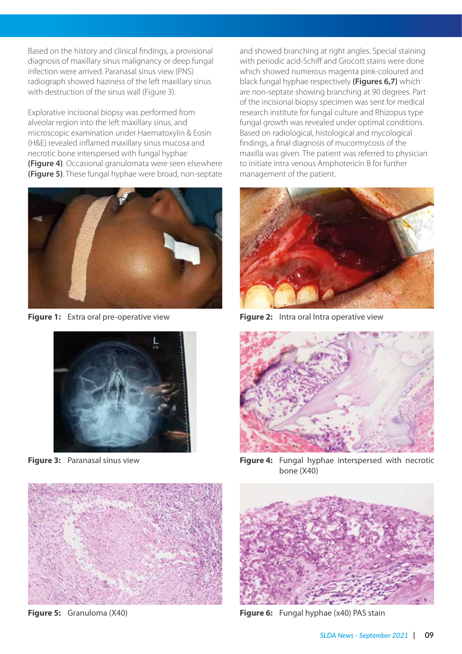Based on the history and clinical findings, a provisional diagnosis of maxillary sinus malignancy or deep fungal infection were arrived. Paranasal sinus view (PNS) radiograph showed haziness of the left maxillary sinus with destruction of the sinus wall (Figure 3).

Explorative incisional biopsy was performed from alveolar region into the left maxillary sinus, and microscopic examination under Haematoxylin & Eosin (H&E) revealed inflamed maxillary sinus mucosa and necrotic bone interspersed with fungal hyphae **(Figure 4)**. Occasional granulomata were seen elsewhere **(Figure 5)**. These fungal hyphae were broad, non-septate



**Figure 1:** Extra oral pre-operative view



**Figure 3:** Paranasal sinus view



**Figure 5:** Granuloma (X40)

and showed branching at right angles. Special staining with periodic acid-Schiff and Grocott stains were done which showed numerous magenta pink-coloured and black fungal hyphae respectively **(Figures 6,7)** which are non-septate showing branching at 90 degrees. Part of the incisional biopsy specimen was sent for medical research institute for fungal culture and Rhizopus type fungal growth was revealed under optimal conditions. Based on radiological, histological and mycological findings, a final diagnosis of mucormycosis of the maxilla was given. The patient was referred to physician to initiate intra venous Amphotericin B for further management of the patient.



**Figure 2:** Intra oral Intra operative view



**Figure 4:** Fungal hyphae interspersed with necrotic bone (X40)



**Figure 6:** Fungal hyphae (x40) PAS stain